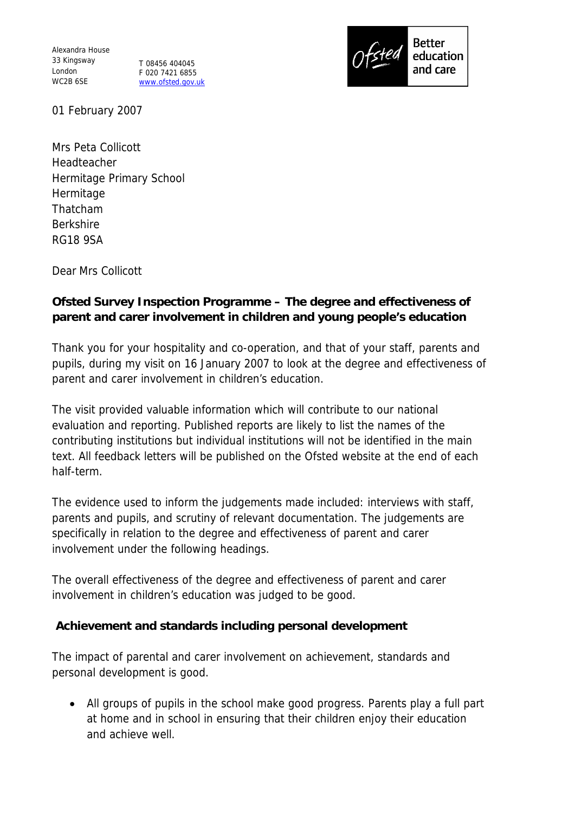Alexandra House 33 Kingsway London WC2B 6SE

T 08456 404045 F 020 7421 6855 www.ofsted.gov.uk



01 February 2007

Mrs Peta Collicott Headteacher Hermitage Primary School Hermitage Thatcham Berkshire RG18 9SA

Dear Mrs Collicott

**Ofsted Survey Inspection Programme – The degree and effectiveness of parent and carer involvement in children and young people's education**

Thank you for your hospitality and co-operation, and that of your staff, parents and pupils, during my visit on 16 January 2007 to look at the degree and effectiveness of parent and carer involvement in children's education.

The visit provided valuable information which will contribute to our national evaluation and reporting. Published reports are likely to list the names of the contributing institutions but individual institutions will not be identified in the main text. All feedback letters will be published on the Ofsted website at the end of each half-term.

The evidence used to inform the judgements made included: interviews with staff, parents and pupils, and scrutiny of relevant documentation. The judgements are specifically in relation to the degree and effectiveness of parent and carer involvement under the following headings.

The overall effectiveness of the degree and effectiveness of parent and carer involvement in children's education was judged to be good.

**Achievement and standards including personal development** 

The impact of parental and carer involvement on achievement, standards and personal development is good.

 All groups of pupils in the school make good progress. Parents play a full part at home and in school in ensuring that their children enjoy their education and achieve well.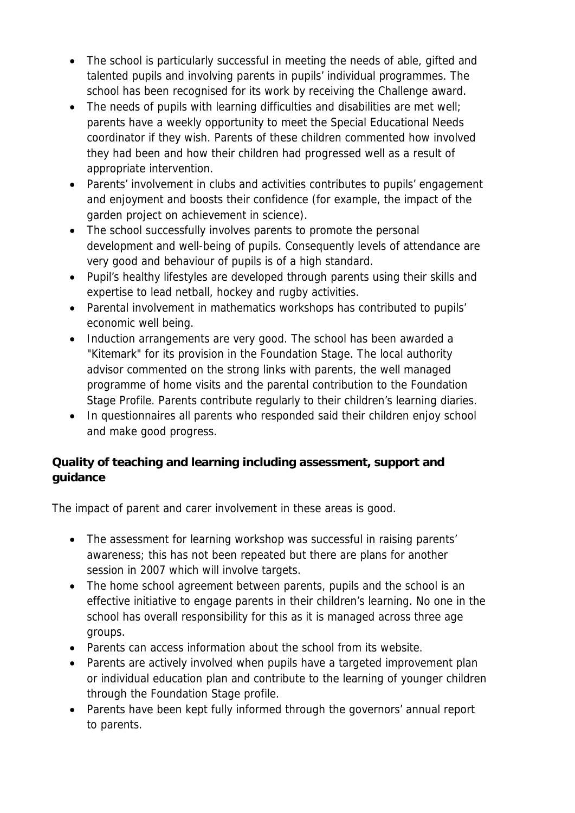- The school is particularly successful in meeting the needs of able, gifted and talented pupils and involving parents in pupils' individual programmes. The school has been recognised for its work by receiving the Challenge award.
- The needs of pupils with learning difficulties and disabilities are met well; parents have a weekly opportunity to meet the Special Educational Needs coordinator if they wish. Parents of these children commented how involved they had been and how their children had progressed well as a result of appropriate intervention.
- Parents' involvement in clubs and activities contributes to pupils' engagement and enjoyment and boosts their confidence (for example, the impact of the garden project on achievement in science).
- The school successfully involves parents to promote the personal development and well-being of pupils. Consequently levels of attendance are very good and behaviour of pupils is of a high standard.
- Pupil's healthy lifestyles are developed through parents using their skills and expertise to lead netball, hockey and rugby activities.
- Parental involvement in mathematics workshops has contributed to pupils' economic well being.
- Induction arrangements are very good. The school has been awarded a "Kitemark" for its provision in the Foundation Stage. The local authority advisor commented on the strong links with parents, the well managed programme of home visits and the parental contribution to the Foundation Stage Profile. Parents contribute regularly to their children's learning diaries.
- In questionnaires all parents who responded said their children enjoy school and make good progress.

**Quality of teaching and learning including assessment, support and guidance**

The impact of parent and carer involvement in these areas is good.

- The assessment for learning workshop was successful in raising parents' awareness; this has not been repeated but there are plans for another session in 2007 which will involve targets.
- The home school agreement between parents, pupils and the school is an effective initiative to engage parents in their children's learning. No one in the school has overall responsibility for this as it is managed across three age groups.
- Parents can access information about the school from its website.
- Parents are actively involved when pupils have a targeted improvement plan or individual education plan and contribute to the learning of younger children through the Foundation Stage profile.
- Parents have been kept fully informed through the governors' annual report to parents.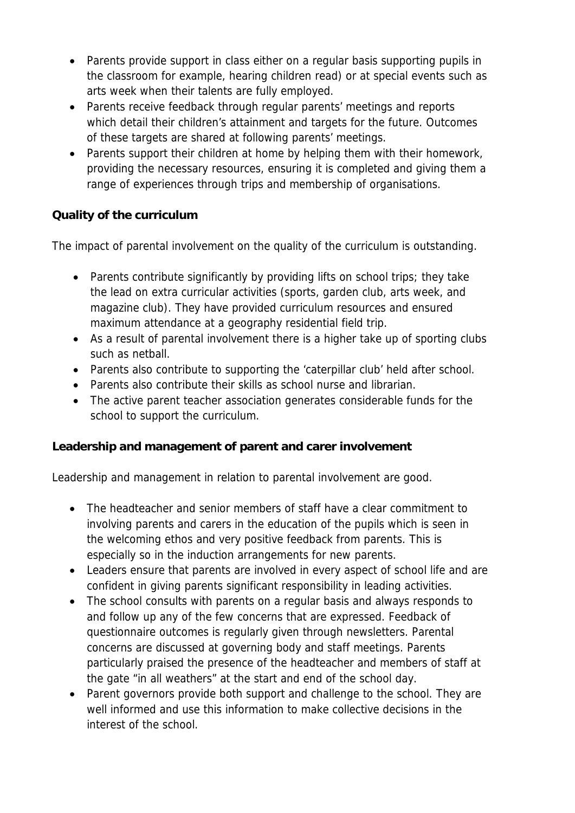- Parents provide support in class either on a regular basis supporting pupils in the classroom for example, hearing children read) or at special events such as arts week when their talents are fully employed.
- Parents receive feedback through regular parents' meetings and reports which detail their children's attainment and targets for the future. Outcomes of these targets are shared at following parents' meetings.
- Parents support their children at home by helping them with their homework, providing the necessary resources, ensuring it is completed and giving them a range of experiences through trips and membership of organisations.

## **Quality of the curriculum**

The impact of parental involvement on the quality of the curriculum is outstanding.

- Parents contribute significantly by providing lifts on school trips; they take the lead on extra curricular activities (sports, garden club, arts week, and magazine club). They have provided curriculum resources and ensured maximum attendance at a geography residential field trip.
- As a result of parental involvement there is a higher take up of sporting clubs such as netball.
- Parents also contribute to supporting the 'caterpillar club' held after school.
- Parents also contribute their skills as school nurse and librarian.
- The active parent teacher association generates considerable funds for the school to support the curriculum.

**Leadership and management of parent and carer involvement**

Leadership and management in relation to parental involvement are good.

- The headteacher and senior members of staff have a clear commitment to involving parents and carers in the education of the pupils which is seen in the welcoming ethos and very positive feedback from parents. This is especially so in the induction arrangements for new parents.
- Leaders ensure that parents are involved in every aspect of school life and are confident in giving parents significant responsibility in leading activities.
- The school consults with parents on a regular basis and always responds to and follow up any of the few concerns that are expressed. Feedback of questionnaire outcomes is regularly given through newsletters. Parental concerns are discussed at governing body and staff meetings. Parents particularly praised the presence of the headteacher and members of staff at the gate "in all weathers" at the start and end of the school day.
- Parent governors provide both support and challenge to the school. They are well informed and use this information to make collective decisions in the interest of the school.